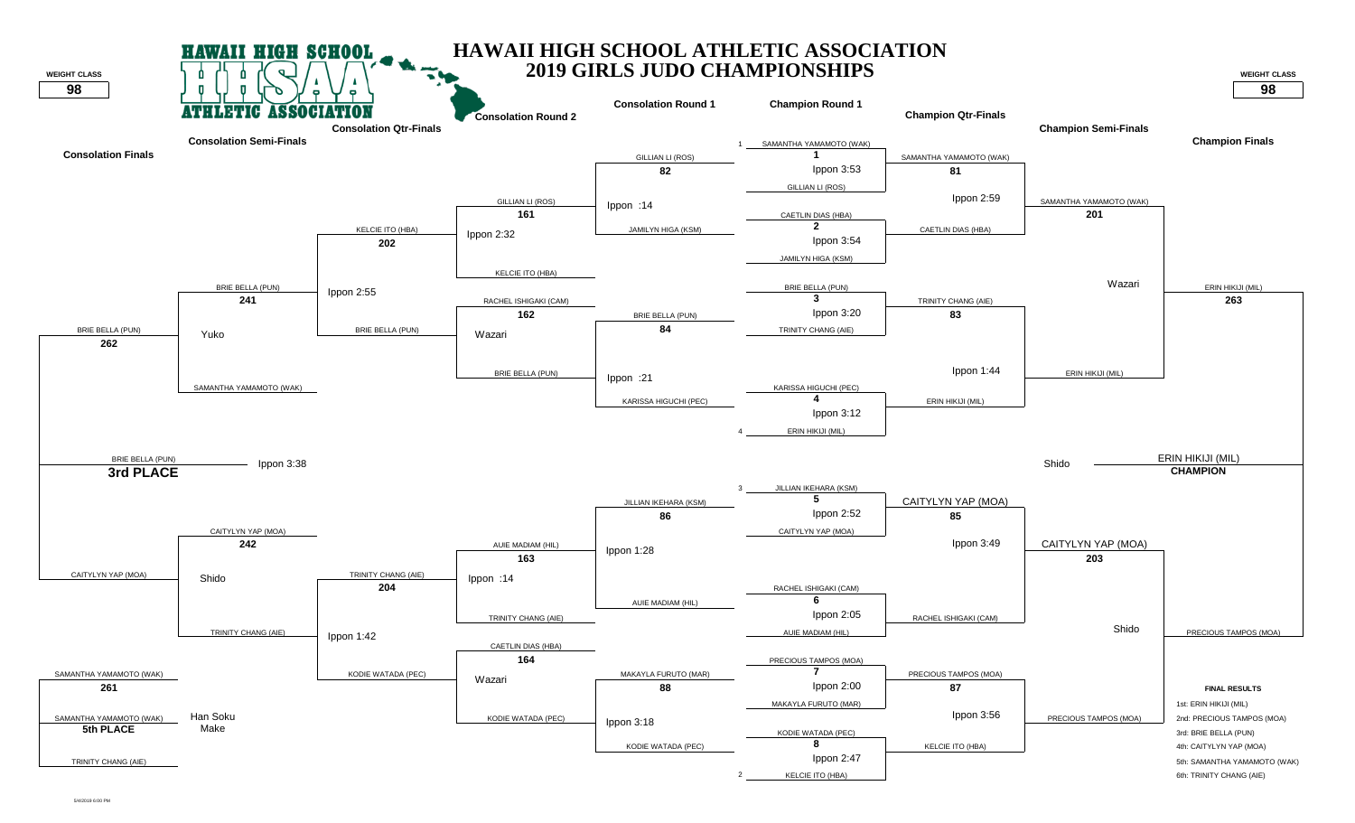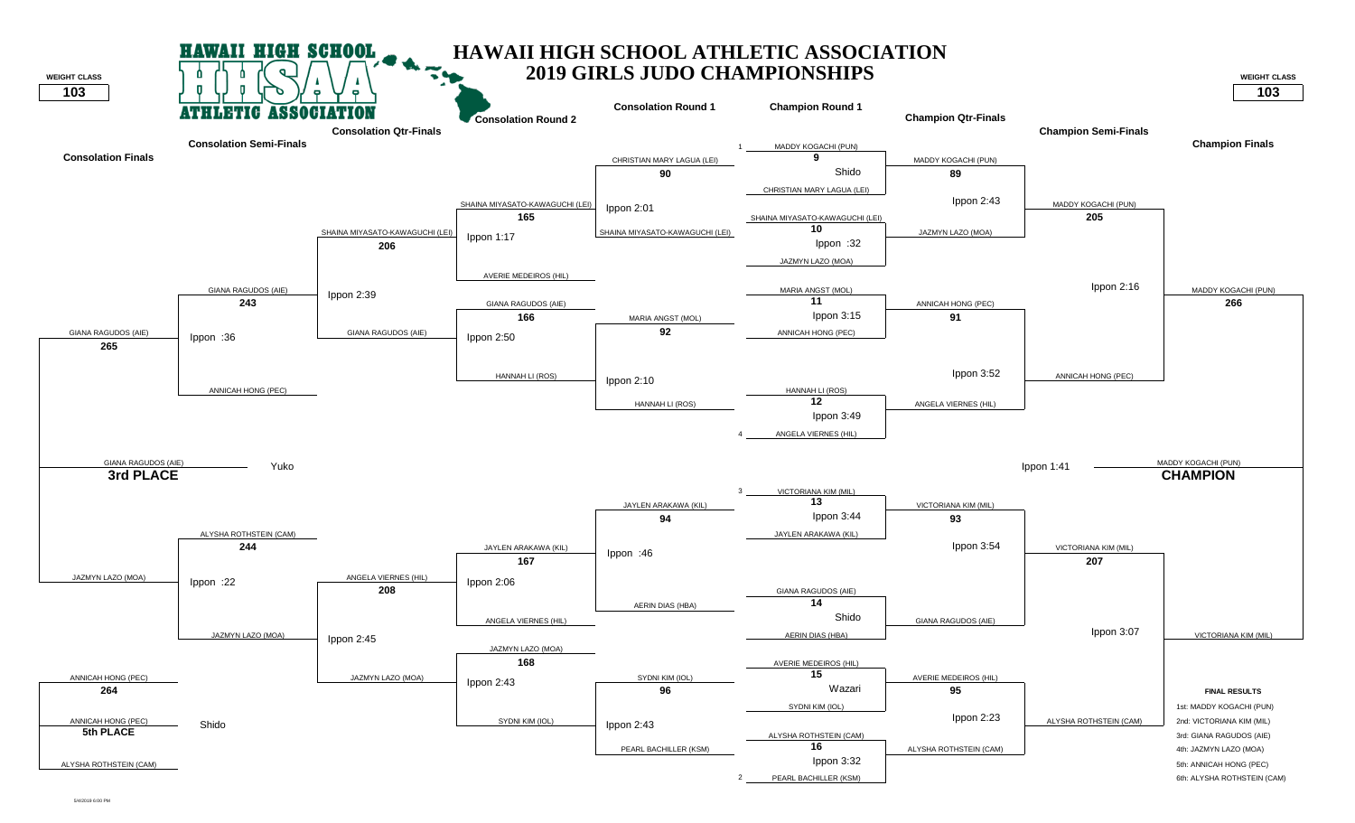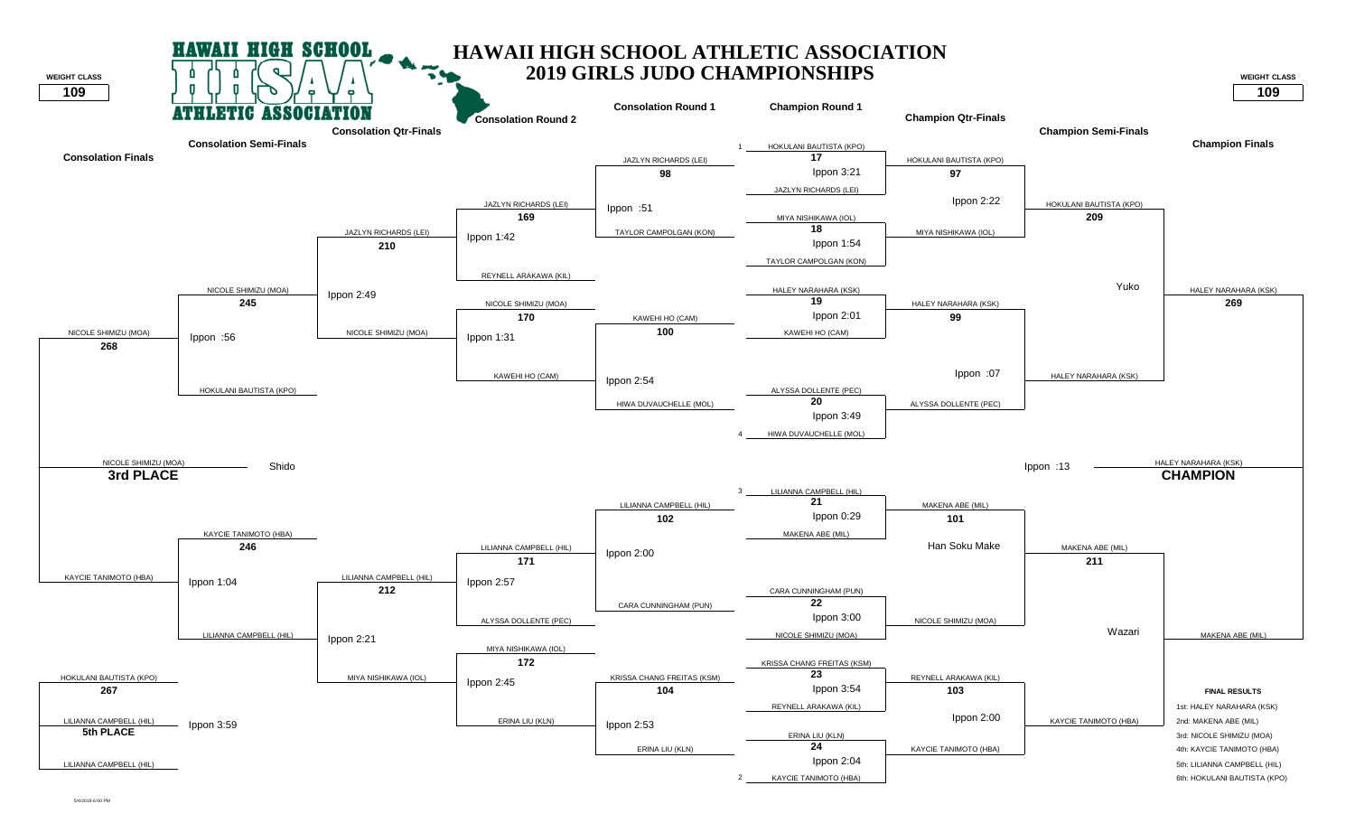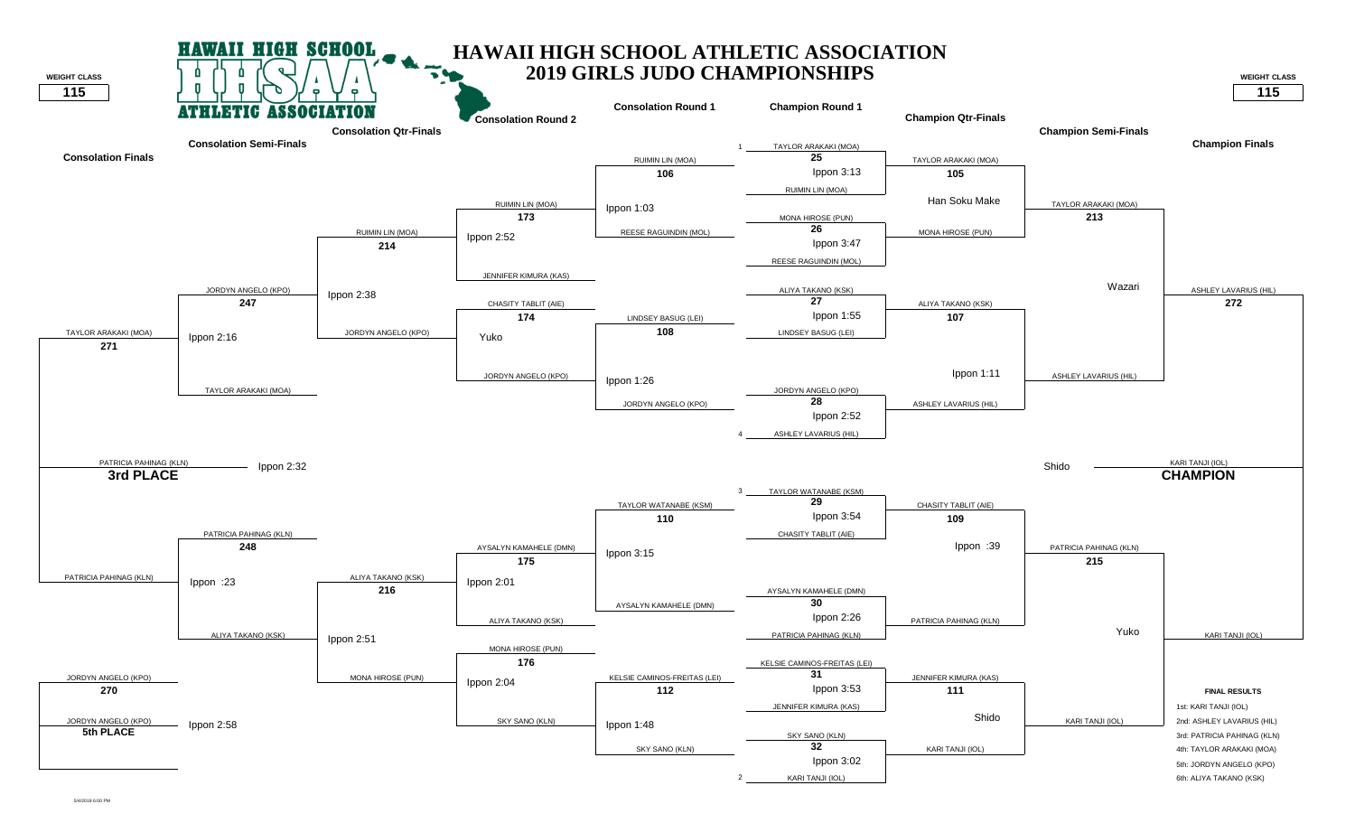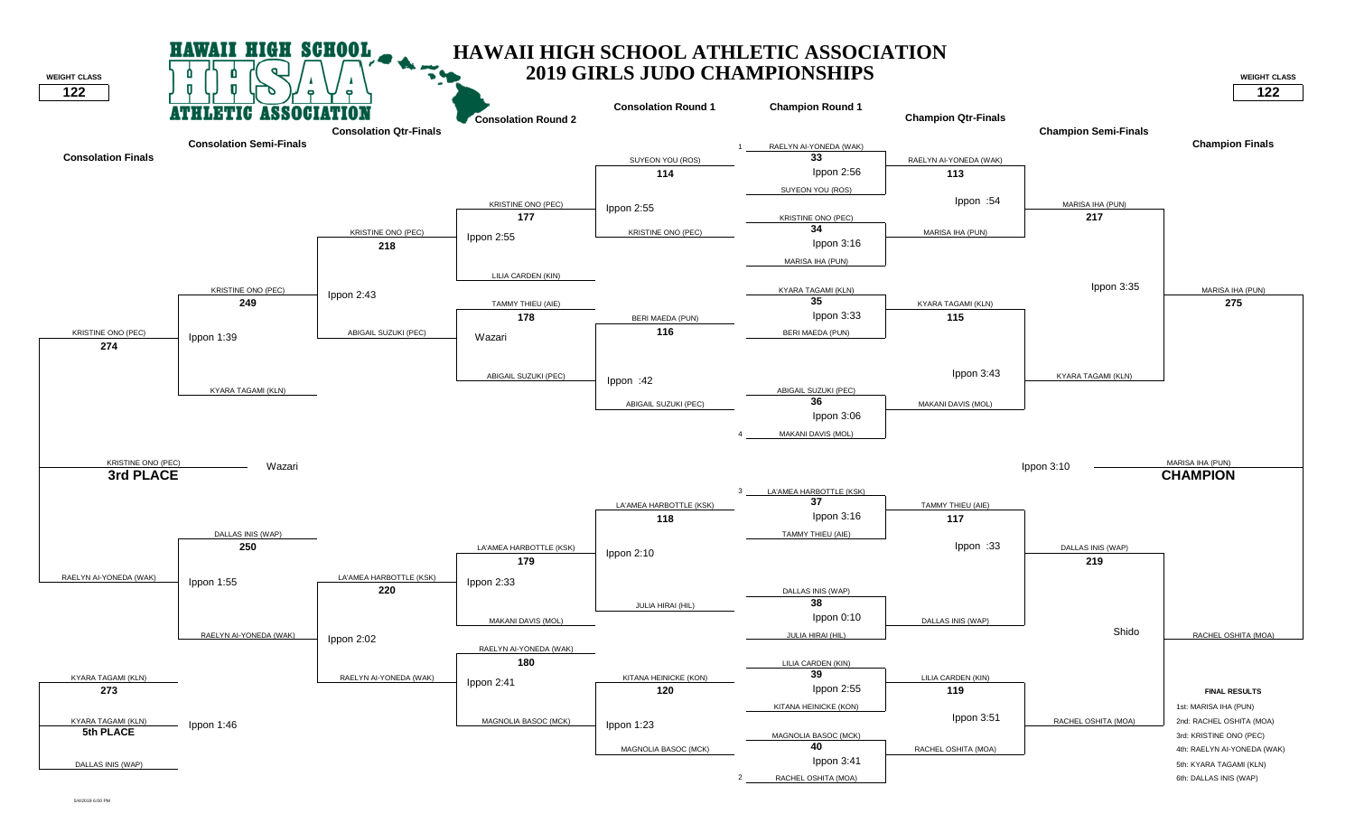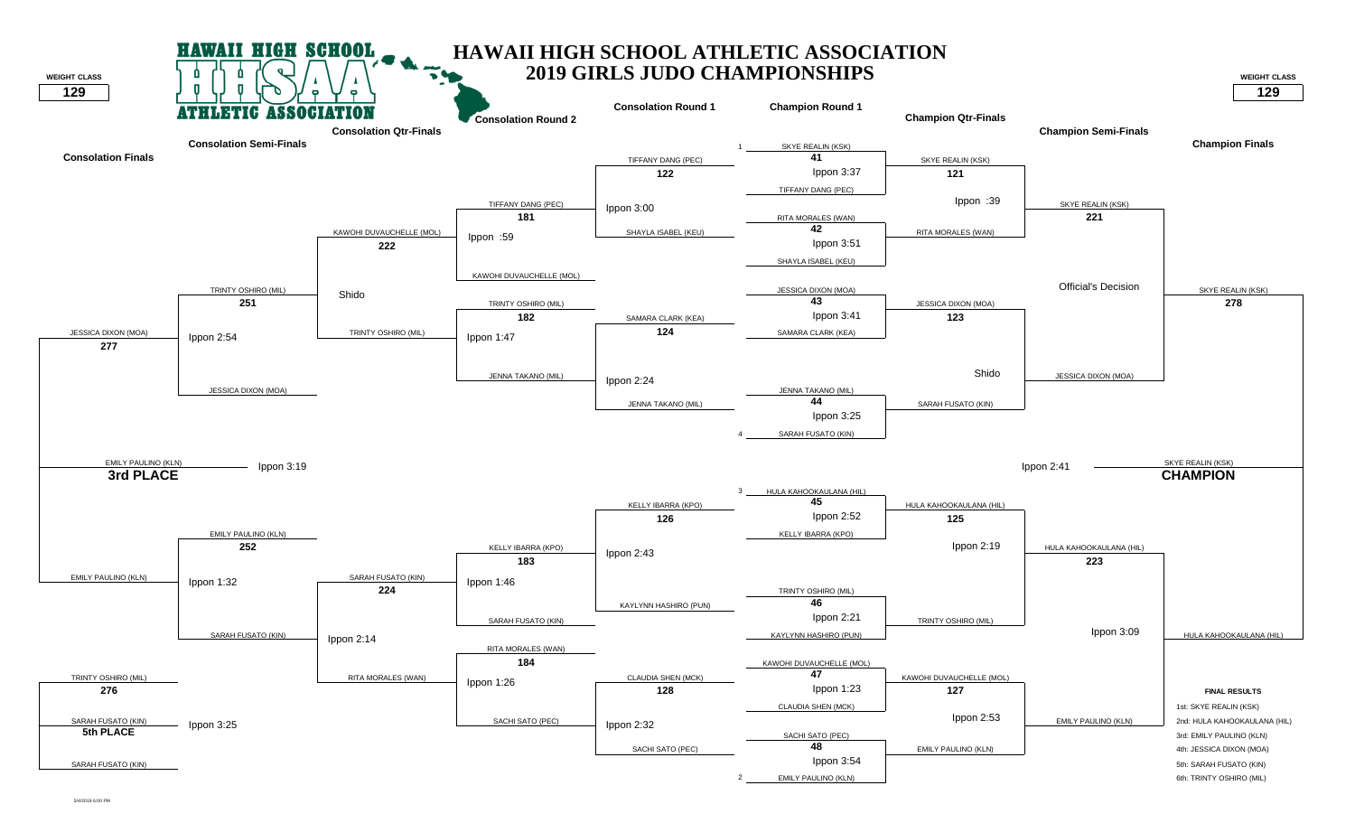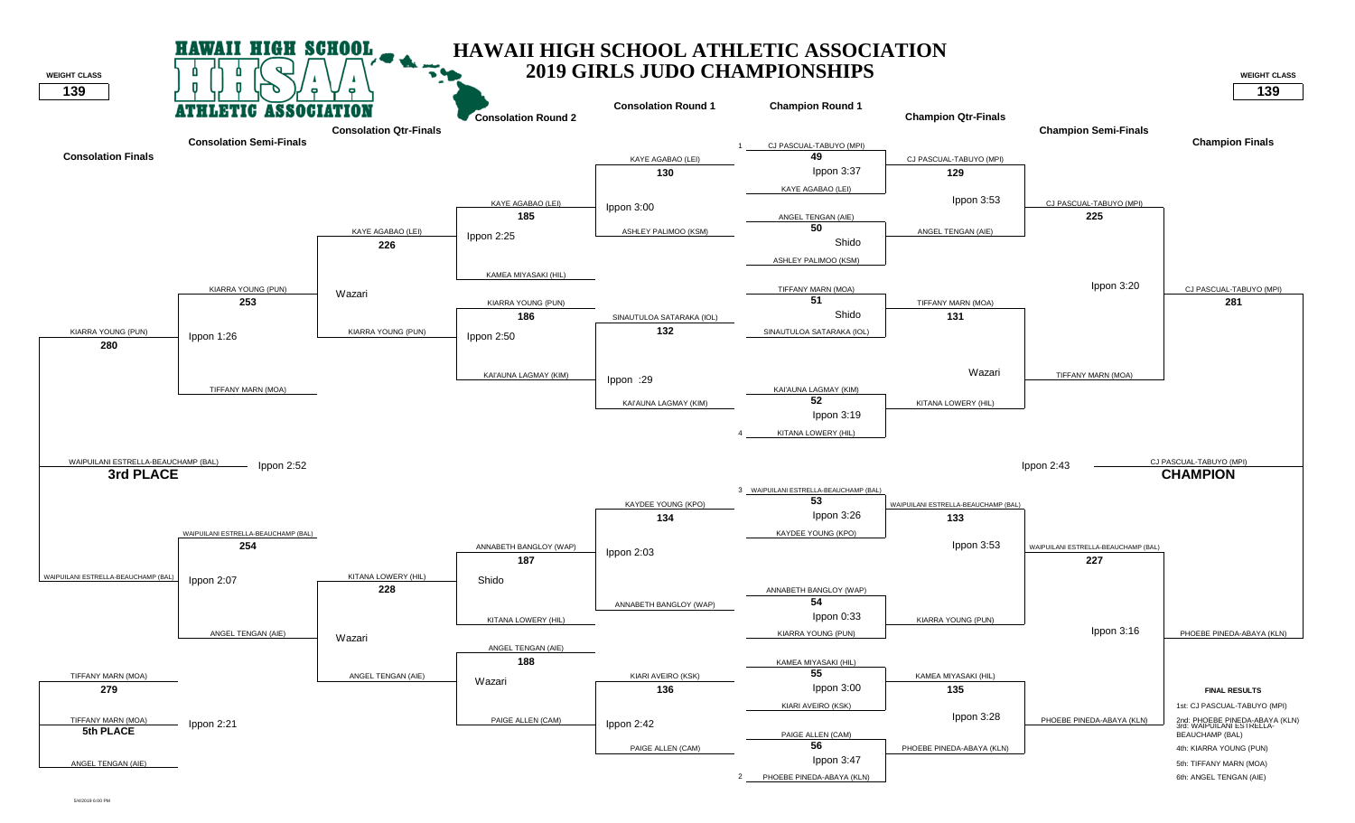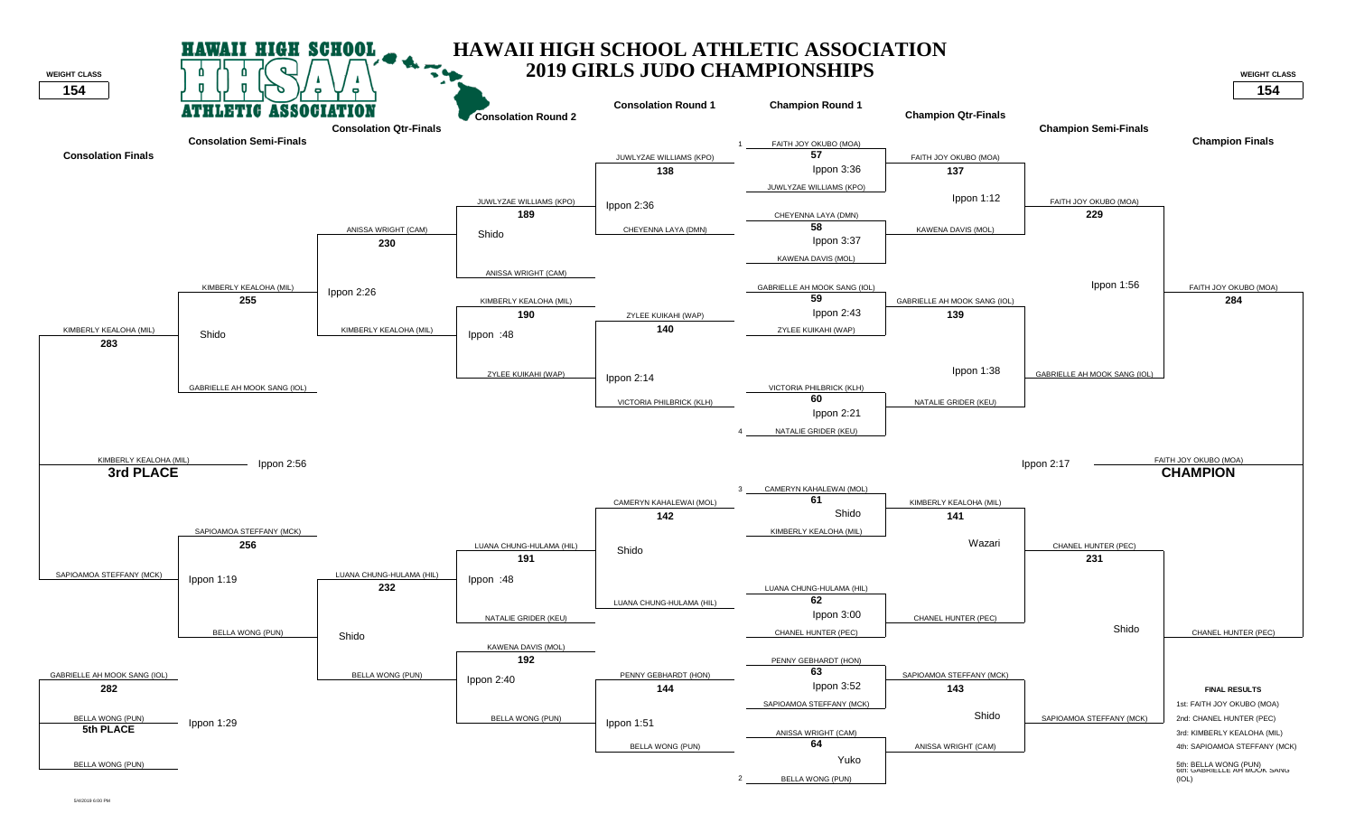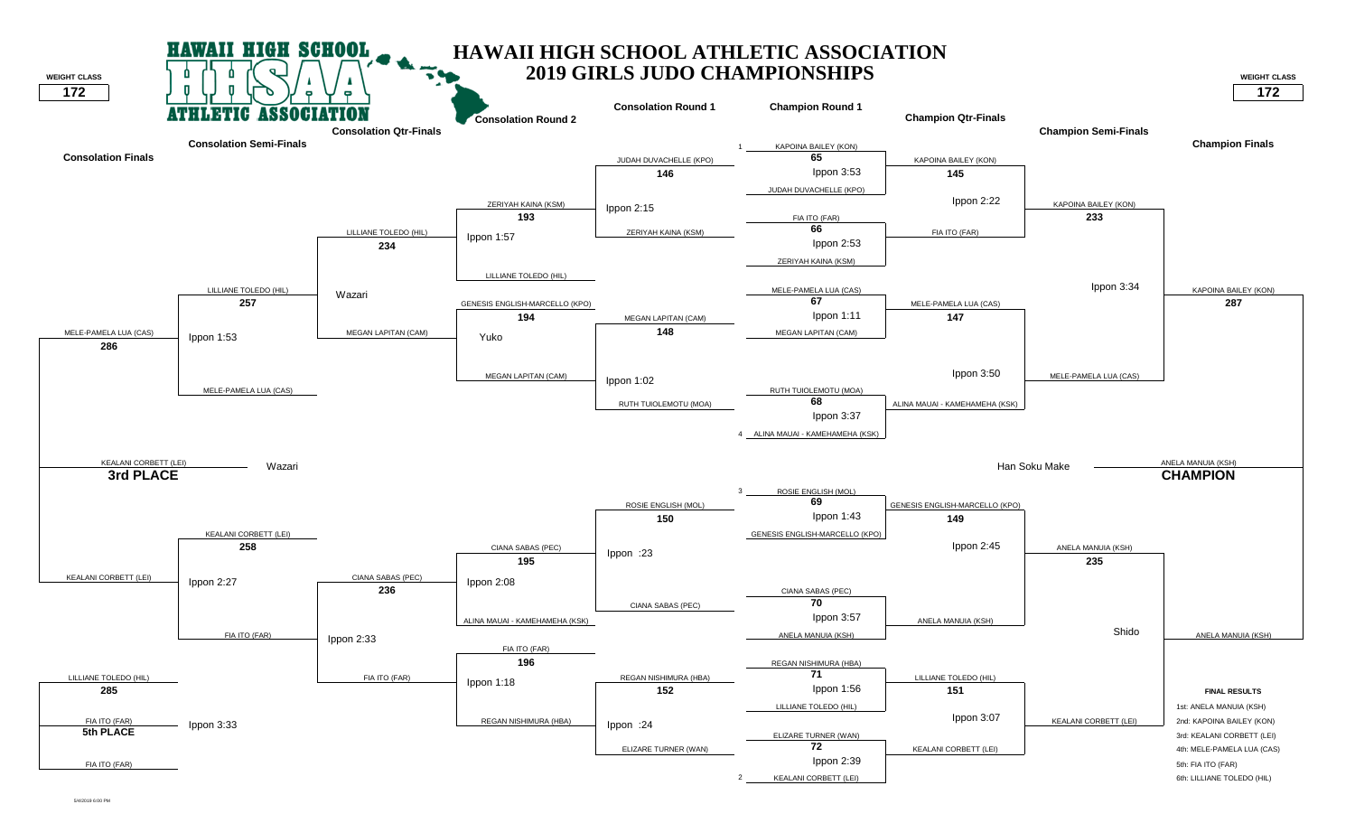